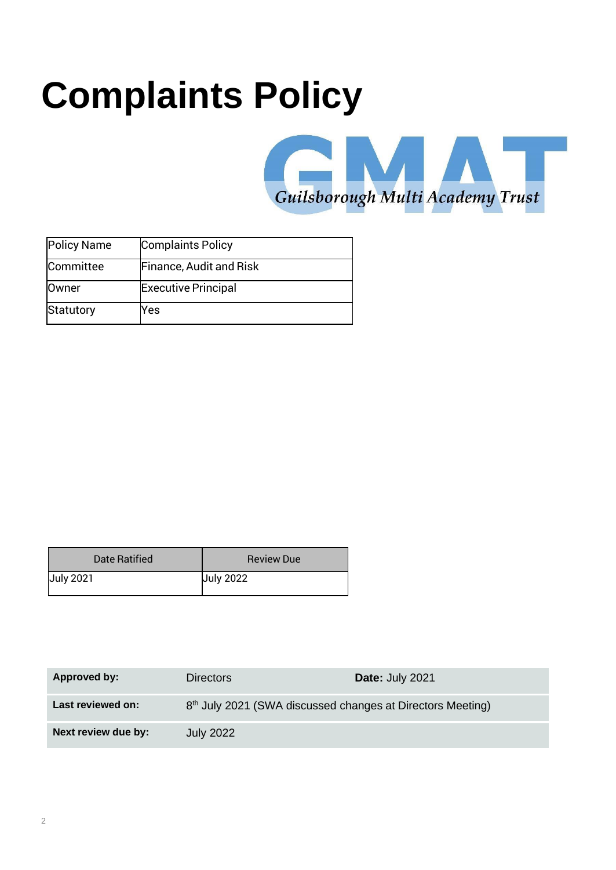# **Complaints Policy**



| <b>Policy Name</b> | <b>Complaints Policy</b>       |
|--------------------|--------------------------------|
| Committee          | <b>Finance, Audit and Risk</b> |
| <b>Owner</b>       | <b>Executive Principal</b>     |
| Statutory          | Yes                            |

| Date Ratified    | <b>Review Due</b> |
|------------------|-------------------|
| <b>July 2021</b> | <b>July 2022</b>  |

| Approved by:        | <b>Directors</b>                                                       | <b>Date: July 2021</b> |
|---------------------|------------------------------------------------------------------------|------------------------|
| Last reviewed on:   | 8 <sup>th</sup> July 2021 (SWA discussed changes at Directors Meeting) |                        |
| Next review due by: | <b>July 2022</b>                                                       |                        |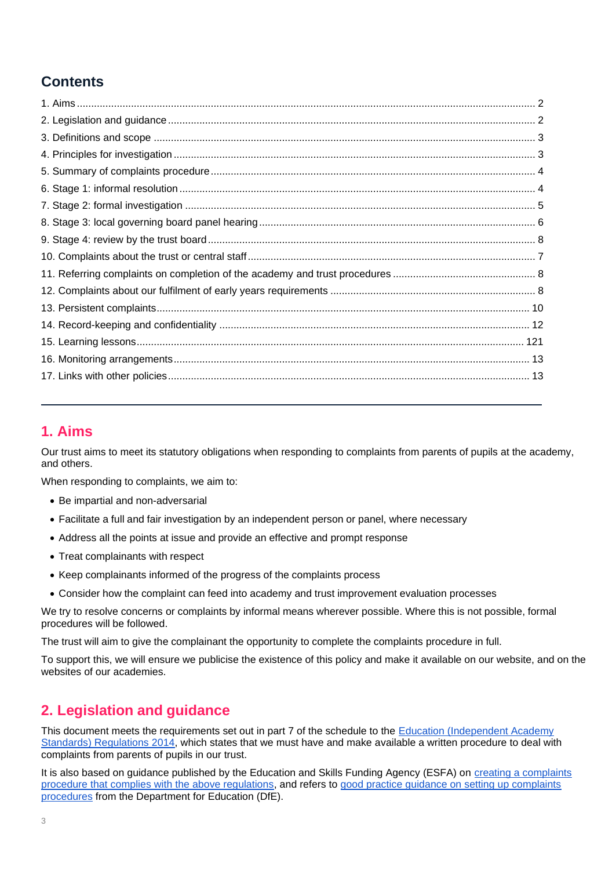# **Contents**

## <span id="page-1-0"></span>**1. Aims**

Our trust aims to meet its statutory obligations when responding to complaints from parents of pupils at the academy, and others.

When responding to complaints, we aim to:

- Be impartial and non-adversarial
- Facilitate a full and fair investigation by an independent person or panel, where necessary
- Address all the points at issue and provide an effective and prompt response
- Treat complainants with respect
- Keep complainants informed of the progress of the complaints process
- Consider how the complaint can feed into academy and trust improvement evaluation processes

We try to resolve concerns or complaints by informal means wherever possible. Where this is not possible, formal procedures will be followed.

The trust will aim to give the complainant the opportunity to complete the complaints procedure in full.

To support this, we will ensure we publicise the existence of this policy and make it available on our website, and on the websites of our academies.

# <span id="page-1-1"></span>**2. Legislation and guidance**

This document meets the requirements set out in part 7 of the schedule to the [Education \(Independent Academy](http://www.legislation.gov.uk/uksi/2014/3283/schedule/made) [Standards\) Regulations 2014, w](http://www.legislation.gov.uk/uksi/2014/3283/schedule/made)hich states that we must have and make available a written procedure to deal with complaints from parents of pupils in our trust.

It is also based on guidance published by the Education and Skills Funding Agency (ESFA) on [creating a complaints](https://www.gov.uk/government/publications/setting-up-an-academies-complaints-procedure) [procedure that complies with the above regulations, a](https://www.gov.uk/government/publications/setting-up-an-academies-complaints-procedure)nd refers to [good practice guidance on setting up complaints](https://www.gov.uk/government/publications/school-complaints-procedures) [procedures](https://www.gov.uk/government/publications/school-complaints-procedures) from the Department for Education (DfE).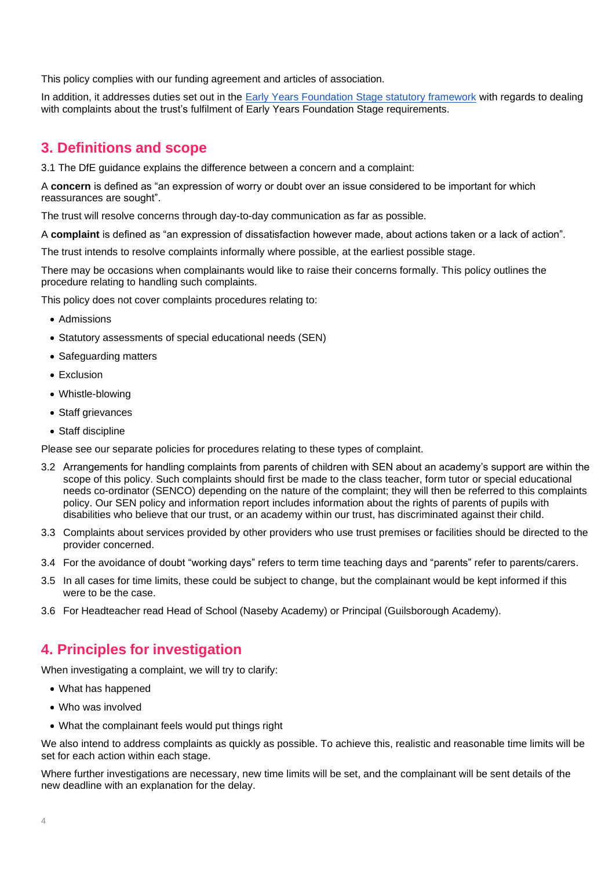This policy complies with our funding agreement and articles of association.

In addition, it addresses duties set out in the [Early Years Foundation Stage statutory framework](https://www.gov.uk/government/publications/early-years-foundation-stage-framework--2) with regards to dealing with complaints about the trust's fulfilment of Early Years Foundation Stage requirements.

## <span id="page-2-0"></span>**3. Definitions and scope**

3.1 The DfE guidance explains the difference between a concern and a complaint:

A **concern** is defined as "an expression of worry or doubt over an issue considered to be important for which reassurances are sought".

The trust will resolve concerns through day-to-day communication as far as possible.

A **complaint** is defined as "an expression of dissatisfaction however made, about actions taken or a lack of action".

The trust intends to resolve complaints informally where possible, at the earliest possible stage.

There may be occasions when complainants would like to raise their concerns formally. This policy outlines the procedure relating to handling such complaints.

This policy does not cover complaints procedures relating to:

- Admissions
- Statutory assessments of special educational needs (SEN)
- Safeguarding matters
- Exclusion
- Whistle-blowing
- Staff grievances
- Staff discipline

Please see our separate policies for procedures relating to these types of complaint.

- 3.2 Arrangements for handling complaints from parents of children with SEN about an academy's support are within the scope of this policy. Such complaints should first be made to the class teacher, form tutor or special educational needs co-ordinator (SENCO) depending on the nature of the complaint; they will then be referred to this complaints policy. Our SEN policy and information report includes information about the rights of parents of pupils with disabilities who believe that our trust, or an academy within our trust, has discriminated against their child.
- 3.3 Complaints about services provided by other providers who use trust premises or facilities should be directed to the provider concerned.
- 3.4 For the avoidance of doubt "working days" refers to term time teaching days and "parents" refer to parents/carers.
- 3.5 In all cases for time limits, these could be subject to change, but the complainant would be kept informed if this were to be the case.
- 3.6 For Headteacher read Head of School (Naseby Academy) or Principal (Guilsborough Academy).

### <span id="page-2-1"></span>**4. Principles for investigation**

When investigating a complaint, we will try to clarify:

- What has happened
- Who was involved
- What the complainant feels would put things right

We also intend to address complaints as quickly as possible. To achieve this, realistic and reasonable time limits will be set for each action within each stage.

Where further investigations are necessary, new time limits will be set, and the complainant will be sent details of the new deadline with an explanation for the delay.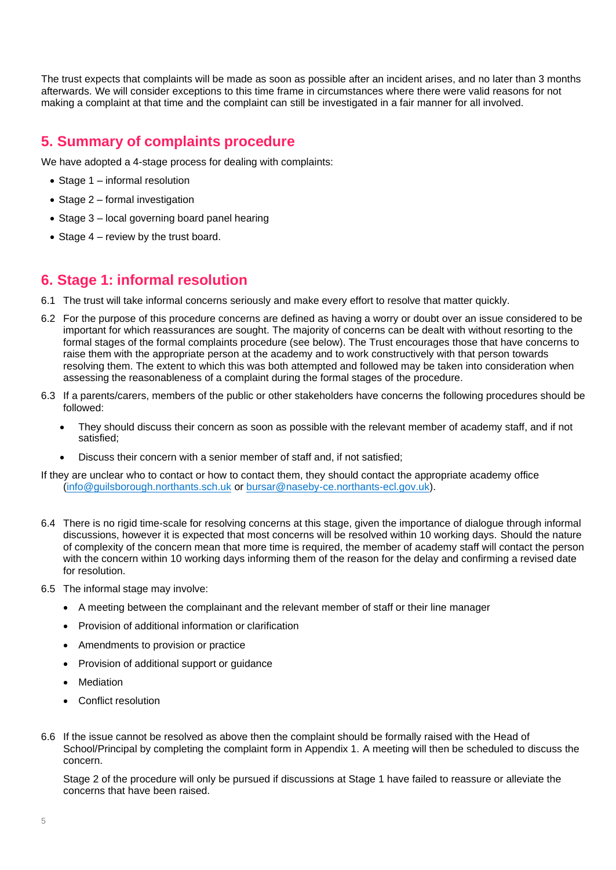The trust expects that complaints will be made as soon as possible after an incident arises, and no later than 3 months afterwards. We will consider exceptions to this time frame in circumstances where there were valid reasons for not making a complaint at that time and the complaint can still be investigated in a fair manner for all involved.

## <span id="page-3-0"></span>**5. Summary of complaints procedure**

We have adopted a 4-stage process for dealing with complaints:

- Stage 1 informal resolution
- Stage 2 formal investigation
- Stage 3 local governing board panel hearing
- Stage 4 review by the trust board.

#### <span id="page-3-1"></span>**6. Stage 1: informal resolution**

- 6.1 The trust will take informal concerns seriously and make every effort to resolve that matter quickly.
- 6.2 For the purpose of this procedure concerns are defined as having a worry or doubt over an issue considered to be important for which reassurances are sought. The majority of concerns can be dealt with without resorting to the formal stages of the formal complaints procedure (see below). The Trust encourages those that have concerns to raise them with the appropriate person at the academy and to work constructively with that person towards resolving them. The extent to which this was both attempted and followed may be taken into consideration when assessing the reasonableness of a complaint during the formal stages of the procedure.
- 6.3 If a parents/carers, members of the public or other stakeholders have concerns the following procedures should be followed:
	- They should discuss their concern as soon as possible with the relevant member of academy staff, and if not satisfied;
	- Discuss their concern with a senior member of staff and, if not satisfied;

If they are unclear who to contact or how to contact them, they should contact the appropriate academy office [\(info@guilsborough.northants.sch.uk](mailto:info@guilsborough.northants.sch.uk) or [bursar@naseby-ce.northants-ecl.gov.uk\)](mailto:bursar@naseby-ce.northants-ecl.gov.uk).

- 6.4 There is no rigid time-scale for resolving concerns at this stage, given the importance of dialogue through informal discussions, however it is expected that most concerns will be resolved within 10 working days. Should the nature of complexity of the concern mean that more time is required, the member of academy staff will contact the person with the concern within 10 working days informing them of the reason for the delay and confirming a revised date for resolution.
- 6.5 The informal stage may involve:
	- A meeting between the complainant and the relevant member of staff or their line manager
	- Provision of additional information or clarification
	- Amendments to provision or practice
	- Provision of additional support or guidance
	- **Mediation**
	- Conflict resolution
- <span id="page-3-2"></span>6.6 If the issue cannot be resolved as above then the complaint should be formally raised with the Head of School/Principal by completing the complaint form in Appendix 1. A meeting will then be scheduled to discuss the concern.

Stage 2 of the procedure will only be pursued if discussions at Stage 1 have failed to reassure or alleviate the concerns that have been raised.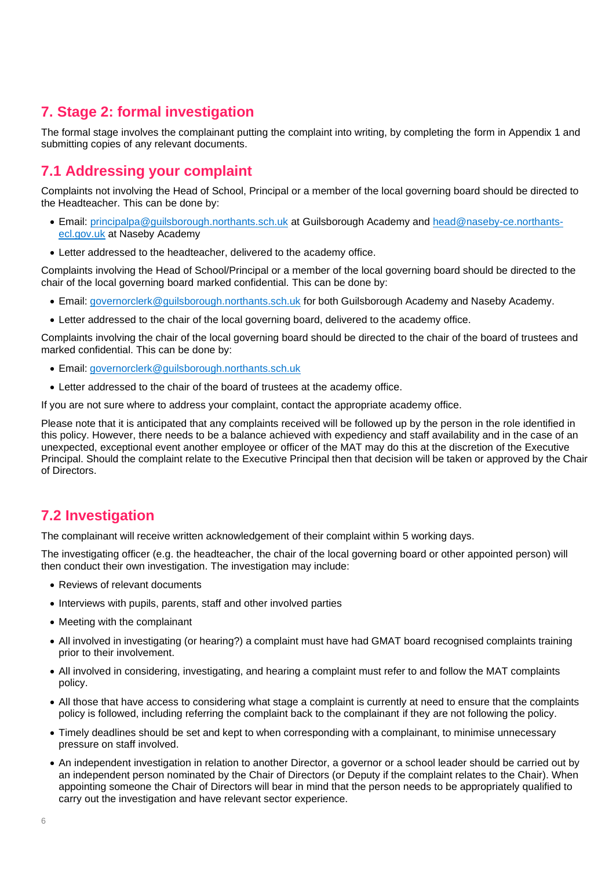# **7. Stage 2: formal investigation**

The formal stage involves the complainant putting the complaint into writing, by completing the form in Appendix 1 and submitting copies of any relevant documents.

# **7.1 Addressing your complaint**

Complaints not involving the Head of School, Principal or a member of the local governing board should be directed to the Headteacher. This can be done by:

- Email: [principalpa@guilsborough.northants.sch.uk](mailto:principalpa@guilsborough.northants.sch.uk) at Guilsborough Academy and [head@naseby-ce.northants](mailto:head@naseby-ce.northants-ecl.gov.uk)[ecl.gov.uk](mailto:head@naseby-ce.northants-ecl.gov.uk) at Naseby Academy
- Letter addressed to the headteacher, delivered to the academy office.

Complaints involving the Head of School/Principal or a member of the local governing board should be directed to the chair of the local governing board marked confidential. This can be done by:

- Email: [governorclerk@guilsborough.northants.sch.uk](mailto:governorclerk@guilsborough.northants.sch.uk) for both Guilsborough Academy and Naseby Academy.
- Letter addressed to the chair of the local governing board, delivered to the academy office.

Complaints involving the chair of the local governing board should be directed to the chair of the board of trustees and marked confidential. This can be done by:

- Email: [governorclerk@guilsborough.northants.sch.uk](mailto:governorclerk@guilsborough.northants.sch.uk)
- Letter addressed to the chair of the board of trustees at the academy office.

If you are not sure where to address your complaint, contact the appropriate academy office.

Please note that it is anticipated that any complaints received will be followed up by the person in the role identified in this policy. However, there needs to be a balance achieved with expediency and staff availability and in the case of an unexpected, exceptional event another employee or officer of the MAT may do this at the discretion of the Executive Principal. Should the complaint relate to the Executive Principal then that decision will be taken or approved by the Chair of Directors.

# **7.2 Investigation**

The complainant will receive written acknowledgement of their complaint within 5 working days.

The investigating officer (e.g. the headteacher, the chair of the local governing board or other appointed person) will then conduct their own investigation. The investigation may include:

- Reviews of relevant documents
- Interviews with pupils, parents, staff and other involved parties
- Meeting with the complainant
- All involved in investigating (or hearing?) a complaint must have had GMAT board recognised complaints training prior to their involvement.
- All involved in considering, investigating, and hearing a complaint must refer to and follow the MAT complaints policy.
- All those that have access to considering what stage a complaint is currently at need to ensure that the complaints policy is followed, including referring the complaint back to the complainant if they are not following the policy.
- Timely deadlines should be set and kept to when corresponding with a complainant, to minimise unnecessary pressure on staff involved.
- An independent investigation in relation to another Director, a governor or a school leader should be carried out by an independent person nominated by the Chair of Directors (or Deputy if the complaint relates to the Chair). When appointing someone the Chair of Directors will bear in mind that the person needs to be appropriately qualified to carry out the investigation and have relevant sector experience.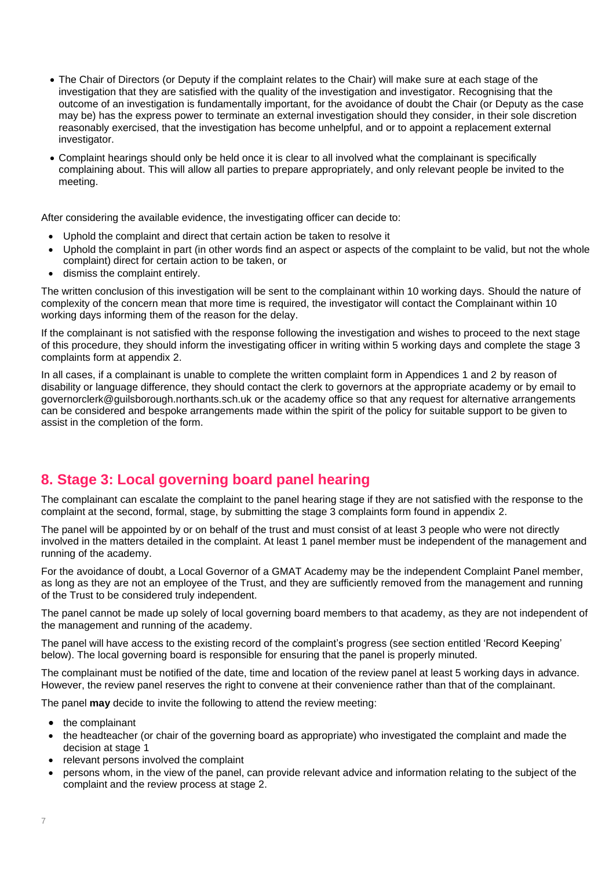- The Chair of Directors (or Deputy if the complaint relates to the Chair) will make sure at each stage of the investigation that they are satisfied with the quality of the investigation and investigator. Recognising that the outcome of an investigation is fundamentally important, for the avoidance of doubt the Chair (or Deputy as the case may be) has the express power to terminate an external investigation should they consider, in their sole discretion reasonably exercised, that the investigation has become unhelpful, and or to appoint a replacement external investigator.
- Complaint hearings should only be held once it is clear to all involved what the complainant is specifically complaining about. This will allow all parties to prepare appropriately, and only relevant people be invited to the meeting.

After considering the available evidence, the investigating officer can decide to:

- Uphold the complaint and direct that certain action be taken to resolve it
- Uphold the complaint in part (in other words find an aspect or aspects of the complaint to be valid, but not the whole complaint) direct for certain action to be taken, or
- dismiss the complaint entirely.

The written conclusion of this investigation will be sent to the complainant within 10 working days. Should the nature of complexity of the concern mean that more time is required, the investigator will contact the Complainant within 10 working days informing them of the reason for the delay.

If the complainant is not satisfied with the response following the investigation and wishes to proceed to the next stage of this procedure, they should inform the investigating officer in writing within 5 working days and complete the stage 3 complaints form at appendix 2.

In all cases, if a complainant is unable to complete the written complaint form in Appendices 1 and 2 by reason of disability or language difference, they should contact the clerk to governors at the appropriate academy or by email to [governorclerk@guilsborough.northants.sch.uk o](mailto:governorclerk@guilsborough.northants.sch.uk)r the academy office so that any request for alternative arrangements can be considered and bespoke arrangements made within the spirit of the policy for suitable support to be given to assist in the completion of the form.

### <span id="page-5-0"></span>**8. Stage 3: Local governing board panel hearing**

The complainant can escalate the complaint to the panel hearing stage if they are not satisfied with the response to the complaint at the second, formal, stage, by submitting the stage 3 complaints form found in appendix 2.

The panel will be appointed by or on behalf of the trust and must consist of at least 3 people who were not directly involved in the matters detailed in the complaint. At least 1 panel member must be independent of the management and running of the academy.

For the avoidance of doubt, a Local Governor of a GMAT Academy may be the independent Complaint Panel member, as long as they are not an employee of the Trust, and they are sufficiently removed from the management and running of the Trust to be considered truly independent.

The panel cannot be made up solely of local governing board members to that academy, as they are not independent of the management and running of the academy.

The panel will have access to the existing record of the complaint's progress (see section entitled 'Record Keeping' below). The local governing board is responsible for ensuring that the panel is properly minuted.

The complainant must be notified of the date, time and location of the review panel at least 5 working days in advance. However, the review panel reserves the right to convene at their convenience rather than that of the complainant.

The panel **may** decide to invite the following to attend the review meeting:

- the complainant
- the headteacher (or chair of the governing board as appropriate) who investigated the complaint and made the decision at stage 1
- relevant persons involved the complaint
- persons whom, in the view of the panel, can provide relevant advice and information relating to the subject of the complaint and the review process at stage 2.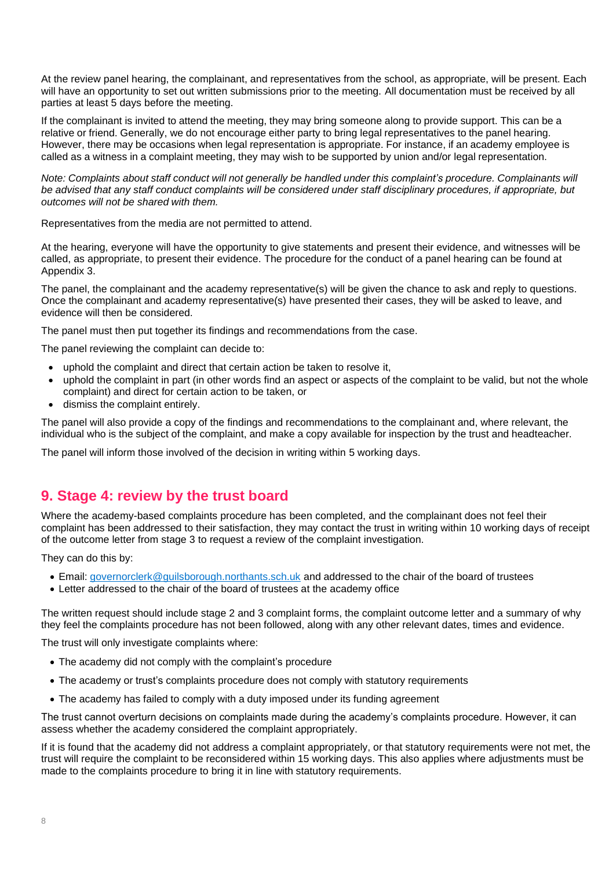At the review panel hearing, the complainant, and representatives from the school, as appropriate, will be present. Each will have an opportunity to set out written submissions prior to the meeting. All documentation must be received by all parties at least 5 days before the meeting.

If the complainant is invited to attend the meeting, they may bring someone along to provide support. This can be a relative or friend. Generally, we do not encourage either party to bring legal representatives to the panel hearing. However, there may be occasions when legal representation is appropriate. For instance, if an academy employee is called as a witness in a complaint meeting, they may wish to be supported by union and/or legal representation.

Note: Complaints about staff conduct will not generally be handled under this complaint's procedure. Complainants will *be advised that any staff conduct complaints will be considered under staff disciplinary procedures, if appropriate, but outcomes will not be shared with them.*

Representatives from the media are not permitted to attend.

At the hearing, everyone will have the opportunity to give statements and present their evidence, and witnesses will be called, as appropriate, to present their evidence. The procedure for the conduct of a panel hearing can be found at Appendix 3.

The panel, the complainant and the academy representative(s) will be given the chance to ask and reply to questions. Once the complainant and academy representative(s) have presented their cases, they will be asked to leave, and evidence will then be considered.

The panel must then put together its findings and recommendations from the case.

The panel reviewing the complaint can decide to:

- uphold the complaint and direct that certain action be taken to resolve it,
- uphold the complaint in part (in other words find an aspect or aspects of the complaint to be valid, but not the whole complaint) and direct for certain action to be taken, or
- dismiss the complaint entirely.

The panel will also provide a copy of the findings and recommendations to the complainant and, where relevant, the individual who is the subject of the complaint, and make a copy available for inspection by the trust and headteacher.

The panel will inform those involved of the decision in writing within 5 working days.

### <span id="page-6-0"></span>**9. Stage 4: review by the trust board**

Where the academy-based complaints procedure has been completed, and the complainant does not feel their complaint has been addressed to their satisfaction, they may contact the trust in writing within 10 working days of receipt of the outcome letter from stage 3 to request a review of the complaint investigation.

They can do this by:

- Email: [governorclerk@guilsborough.northants.sch.uk](mailto:governorclerk@guilsborough.northants.sch.uk) and addressed to the chair of the board of trustees
- Letter addressed to the chair of the board of trustees at the academy office

The written request should include stage 2 and 3 complaint forms, the complaint outcome letter and a summary of why they feel the complaints procedure has not been followed, along with any other relevant dates, times and evidence.

The trust will only investigate complaints where:

- The academy did not comply with the complaint's procedure
- The academy or trust's complaints procedure does not comply with statutory requirements
- The academy has failed to comply with a duty imposed under its funding agreement

The trust cannot overturn decisions on complaints made during the academy's complaints procedure. However, it can assess whether the academy considered the complaint appropriately.

If it is found that the academy did not address a complaint appropriately, or that statutory requirements were not met, the trust will require the complaint to be reconsidered within 15 working days. This also applies where adjustments must be made to the complaints procedure to bring it in line with statutory requirements.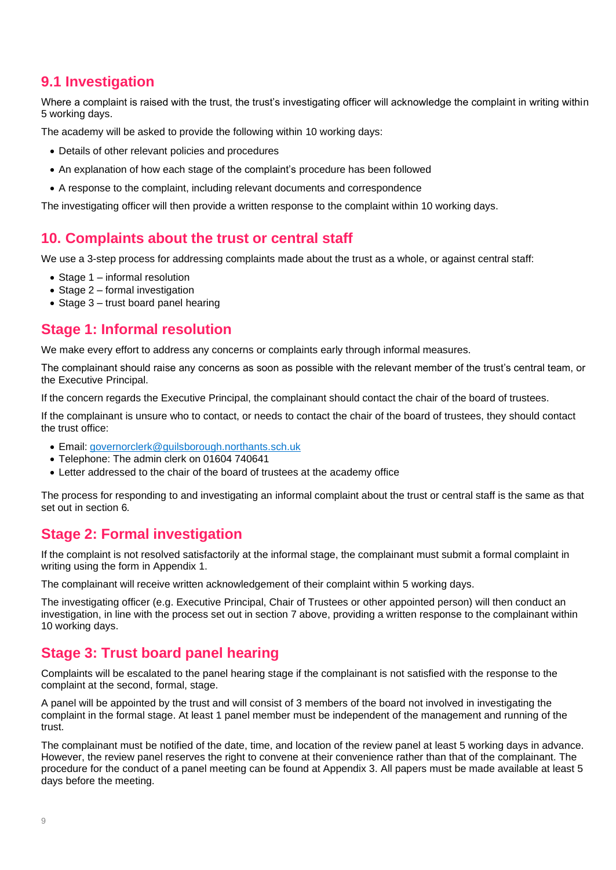# **9.1 Investigation**

Where a complaint is raised with the trust, the trust's investigating officer will acknowledge the complaint in writing within 5 working days.

The academy will be asked to provide the following within 10 working days:

- Details of other relevant policies and procedures
- An explanation of how each stage of the complaint's procedure has been followed
- <span id="page-7-0"></span>• A response to the complaint, including relevant documents and correspondence

The investigating officer will then provide a written response to the complaint within 10 working days.

## **10. Complaints about the trust or central staff**

We use a 3-step process for addressing complaints made about the trust as a whole, or against central staff:

- Stage 1 informal resolution
- Stage 2 formal investigation
- Stage 3 trust board panel hearing

### **Stage 1: Informal resolution**

We make every effort to address any concerns or complaints early through informal measures.

The complainant should raise any concerns as soon as possible with the relevant member of the trust's central team, or the Executive Principal.

If the concern regards the Executive Principal, the complainant should contact the chair of the board of trustees.

If the complainant is unsure who to contact, or needs to contact the chair of the board of trustees, they should contact the trust office:

- Email: [governorclerk@guilsborough.northants.sch.uk](mailto:governorclerk@guilsborough.northants.sch.uk)
- Telephone: The admin clerk on 01604 740641
- Letter addressed to the chair of the board of trustees at the academy office

The process for responding to and investigating an informal complaint about the trust or central staff is the same as that set out in section 6*.*

### **Stage 2: Formal investigation**

If the complaint is not resolved satisfactorily at the informal stage, the complainant must submit a formal complaint in writing using the form in Appendix 1.

The complainant will receive written acknowledgement of their complaint within 5 working days.

The investigating officer (e.g. Executive Principal, Chair of Trustees or other appointed person) will then conduct an investigation, in line with the process set out in section 7 above, providing a written response to the complainant within 10 working days.

# **Stage 3: Trust board panel hearing**

Complaints will be escalated to the panel hearing stage if the complainant is not satisfied with the response to the complaint at the second, formal, stage.

A panel will be appointed by the trust and will consist of 3 members of the board not involved in investigating the complaint in the formal stage. At least 1 panel member must be independent of the management and running of the trust.

The complainant must be notified of the date, time, and location of the review panel at least 5 working days in advance. However, the review panel reserves the right to convene at their convenience rather than that of the complainant. The procedure for the conduct of a panel meeting can be found at Appendix 3. All papers must be made available at least 5 days before the meeting.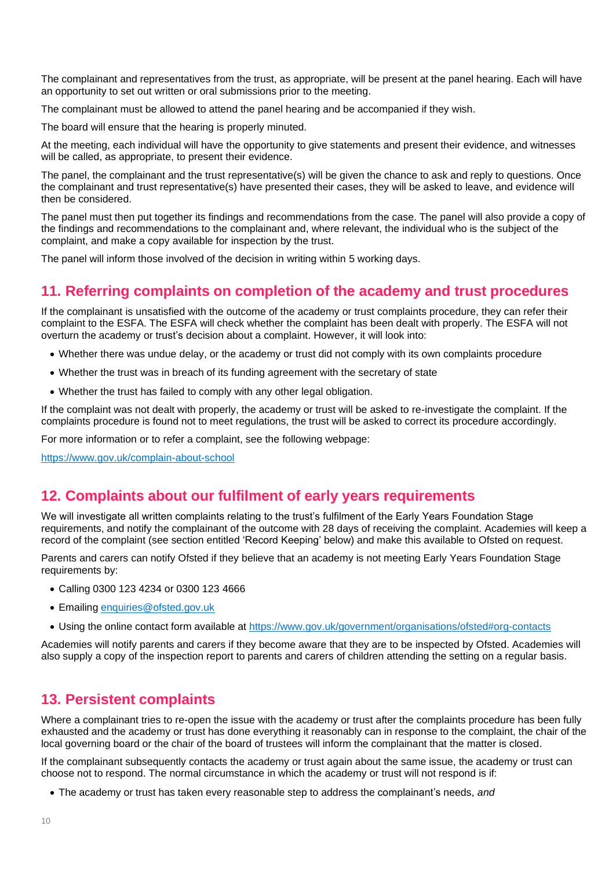The complainant and representatives from the trust, as appropriate, will be present at the panel hearing. Each will have an opportunity to set out written or oral submissions prior to the meeting.

The complainant must be allowed to attend the panel hearing and be accompanied if they wish.

The board will ensure that the hearing is properly minuted.

At the meeting, each individual will have the opportunity to give statements and present their evidence, and witnesses will be called, as appropriate, to present their evidence.

The panel, the complainant and the trust representative(s) will be given the chance to ask and reply to questions. Once the complainant and trust representative(s) have presented their cases, they will be asked to leave, and evidence will then be considered.

The panel must then put together its findings and recommendations from the case. The panel will also provide a copy of the findings and recommendations to the complainant and, where relevant, the individual who is the subject of the complaint, and make a copy available for inspection by the trust.

The panel will inform those involved of the decision in writing within 5 working days.

#### <span id="page-8-0"></span>**11. Referring complaints on completion of the academy and trust procedures**

If the complainant is unsatisfied with the outcome of the academy or trust complaints procedure, they can refer their complaint to the ESFA. The ESFA will check whether the complaint has been dealt with properly. The ESFA will not overturn the academy or trust's decision about a complaint. However, it will look into:

- Whether there was undue delay, or the academy or trust did not comply with its own complaints procedure
- Whether the trust was in breach of its funding agreement with the secretary of state
- Whether the trust has failed to comply with any other legal obligation.

If the complaint was not dealt with properly, the academy or trust will be asked to re-investigate the complaint. If the complaints procedure is found not to meet regulations, the trust will be asked to correct its procedure accordingly.

For more information or to refer a complaint, see the following webpage:

<span id="page-8-1"></span><https://www.gov.uk/complain-about-school>

#### **12. Complaints about our fulfilment of early years requirements**

We will investigate all written complaints relating to the trust's fulfilment of the Early Years Foundation Stage requirements, and notify the complainant of the outcome with 28 days of receiving the complaint. Academies will keep a record of the complaint (see section entitled 'Record Keeping' below) and make this available to Ofsted on request.

Parents and carers can notify Ofsted if they believe that an academy is not meeting Early Years Foundation Stage requirements by:

- Calling 0300 123 4234 or 0300 123 4666
- Emailing [enquiries@ofsted.gov.uk](mailto:enquiries@ofsted.gov.uk)
- Using the online contact form available at <https://www.gov.uk/government/organisations/ofsted#org-contacts>

Academies will notify parents and carers if they become aware that they are to be inspected by Ofsted. Academies will also supply a copy of the inspection report to parents and carers of children attending the setting on a regular basis.

#### **13. Persistent complaints**

Where a complainant tries to re-open the issue with the academy or trust after the complaints procedure has been fully exhausted and the academy or trust has done everything it reasonably can in response to the complaint, the chair of the local governing board or the chair of the board of trustees will inform the complainant that the matter is closed.

If the complainant subsequently contacts the academy or trust again about the same issue, the academy or trust can choose not to respond. The normal circumstance in which the academy or trust will not respond is if:

• The academy or trust has taken every reasonable step to address the complainant's needs, *and*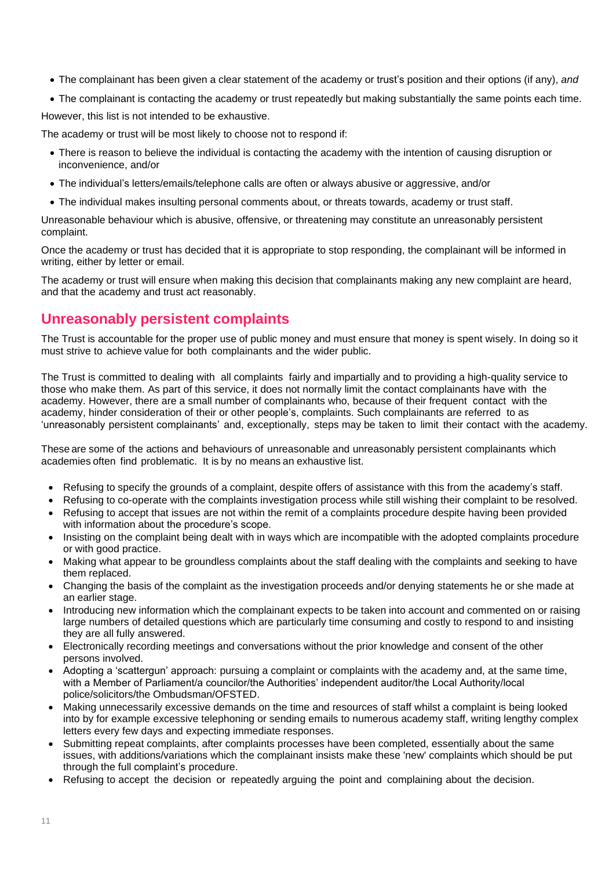- The complainant has been given a clear statement of the academy or trust's position and their options (if any), *and*
- The complainant is contacting the academy or trust repeatedly but making substantially the same points each time.

However, this list is not intended to be exhaustive.

The academy or trust will be most likely to choose not to respond if:

- There is reason to believe the individual is contacting the academy with the intention of causing disruption or inconvenience, and/or
- The individual's letters/emails/telephone calls are often or always abusive or aggressive, and/or
- The individual makes insulting personal comments about, or threats towards, academy or trust staff.

Unreasonable behaviour which is abusive, offensive, or threatening may constitute an unreasonably persistent complaint.

Once the academy or trust has decided that it is appropriate to stop responding, the complainant will be informed in writing, either by letter or email.

The academy or trust will ensure when making this decision that complainants making any new complaint are heard, and that the academy and trust act reasonably.

#### **Unreasonably persistent complaints**

The Trust is accountable for the proper use of public money and must ensure that money is spent wisely. In doing so it must strive to achieve value for both complainants and the wider public.

The Trust is committed to dealing with all complaints fairly and impartially and to providing a high-quality service to those who make them. As part of this service, it does not normally limit the contact complainants have with the academy. However, there are a small number of complainants who, because of their frequent contact with the academy, hinder consideration of their or other people's, complaints. Such complainants are referred to as 'unreasonably persistent complainants' and, exceptionally, steps may be taken to limit their contact with the academy.

These are some of the actions and behaviours of unreasonable and unreasonably persistent complainants which academies often find problematic. It is by no means an exhaustive list.

- Refusing to specify the grounds of a complaint, despite offers of assistance with this from the academy's staff.
- Refusing to co-operate with the complaints investigation process while still wishing their complaint to be resolved.
- Refusing to accept that issues are not within the remit of a complaints procedure despite having been provided with information about the procedure's scope.
- Insisting on the complaint being dealt with in ways which are incompatible with the adopted complaints procedure or with good practice.
- Making what appear to be groundless complaints about the staff dealing with the complaints and seeking to have them replaced.
- Changing the basis of the complaint as the investigation proceeds and/or denying statements he or she made at an earlier stage.
- Introducing new information which the complainant expects to be taken into account and commented on or raising large numbers of detailed questions which are particularly time consuming and costly to respond to and insisting they are all fully answered.
- Electronically recording meetings and conversations without the prior knowledge and consent of the other persons involved.
- Adopting a 'scattergun' approach: pursuing a complaint or complaints with the academy and, at the same time, with a Member of Parliament/a councilor/the Authorities' independent auditor/the Local Authority/local police/solicitors/the Ombudsman/OFSTED.
- Making unnecessarily excessive demands on the time and resources of staff whilst a complaint is being looked into by for example excessive telephoning or sending emails to numerous academy staff, writing lengthy complex letters every few days and expecting immediate responses.
- Submitting repeat complaints, after complaints processes have been completed, essentially about the same issues, with additions/variations which the complainant insists make these 'new' complaints which should be put through the full complaint's procedure.
- Refusing to accept the decision or repeatedly arguing the point and complaining about the decision.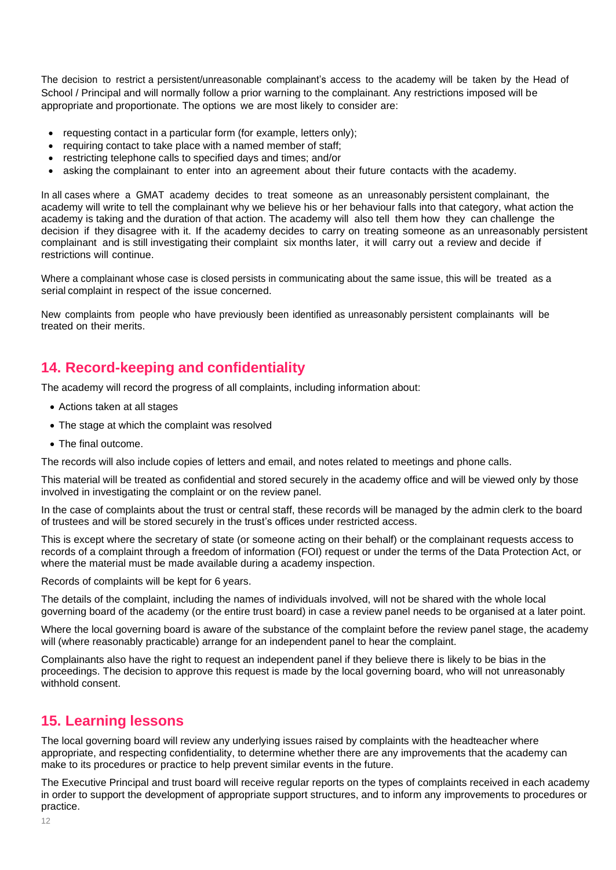The decision to restrict a persistent/unreasonable complainant's access to the academy will be taken by the Head of School / Principal and will normally follow a prior warning to the complainant. Any restrictions imposed will be appropriate and proportionate. The options we are most likely to consider are:

- requesting contact in a particular form (for example, letters only);
- requiring contact to take place with a named member of staff;
- restricting telephone calls to specified days and times; and/or
- asking the complainant to enter into an agreement about their future contacts with the academy.

In all cases where a GMAT academy decides to treat someone as an unreasonably persistent complainant, the academy will write to tell the complainant why we believe his or her behaviour falls into that category, what action the academy is taking and the duration of that action. The academy will also tell them how they can challenge the decision if they disagree with it. If the academy decides to carry on treating someone as an unreasonably persistent complainant and is still investigating their complaint six months later, it will carry out a review and decide if restrictions will continue.

Where a complainant whose case is closed persists in communicating about the same issue, this will be treated as a serial complaint in respect of the issue concerned.

New complaints from people who have previously been identified as unreasonably persistent complainants will be treated on their merits.

## <span id="page-10-0"></span>**14. Record-keeping and confidentiality**

The academy will record the progress of all complaints, including information about:

- Actions taken at all stages
- The stage at which the complaint was resolved
- The final outcome.

The records will also include copies of letters and email, and notes related to meetings and phone calls.

This material will be treated as confidential and stored securely in the academy office and will be viewed only by those involved in investigating the complaint or on the review panel.

In the case of complaints about the trust or central staff, these records will be managed by the admin clerk to the board of trustees and will be stored securely in the trust's offices under restricted access.

This is except where the secretary of state (or someone acting on their behalf) or the complainant requests access to records of a complaint through a freedom of information (FOI) request or under the terms of the Data Protection Act, or where the material must be made available during a academy inspection.

Records of complaints will be kept for 6 years.

The details of the complaint, including the names of individuals involved, will not be shared with the whole local governing board of the academy (or the entire trust board) in case a review panel needs to be organised at a later point.

Where the local governing board is aware of the substance of the complaint before the review panel stage, the academy will (where reasonably practicable) arrange for an independent panel to hear the complaint.

Complainants also have the right to request an independent panel if they believe there is likely to be bias in the proceedings. The decision to approve this request is made by the local governing board, who will not unreasonably withhold consent.

### <span id="page-10-1"></span>**15. Learning lessons**

The local governing board will review any underlying issues raised by complaints with the headteacher where appropriate, and respecting confidentiality, to determine whether there are any improvements that the academy can make to its procedures or practice to help prevent similar events in the future.

The Executive Principal and trust board will receive regular reports on the types of complaints received in each academy in order to support the development of appropriate support structures, and to inform any improvements to procedures or practice.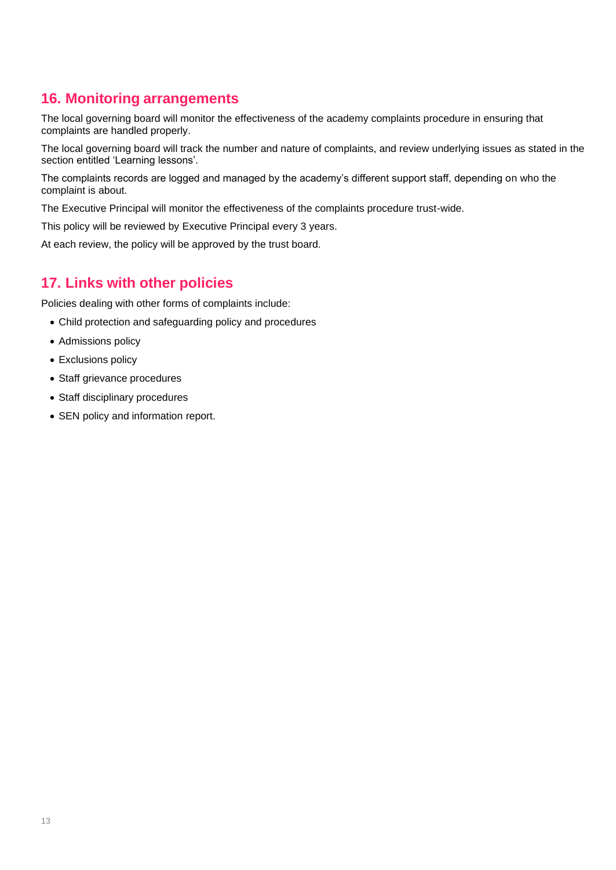# <span id="page-11-0"></span>**16. Monitoring arrangements**

The local governing board will monitor the effectiveness of the academy complaints procedure in ensuring that complaints are handled properly.

The local governing board will track the number and nature of complaints, and review underlying issues as stated in the section entitled 'Learning lessons'.

The complaints records are logged and managed by the academy's different support staff, depending on who the complaint is about.

The Executive Principal will monitor the effectiveness of the complaints procedure trust-wide.

This policy will be reviewed by Executive Principal every 3 years.

At each review, the policy will be approved by the trust board.

## <span id="page-11-1"></span>**17. Links with other policies**

Policies dealing with other forms of complaints include:

- Child protection and safeguarding policy and procedures
- Admissions policy
- Exclusions policy
- Staff grievance procedures
- Staff disciplinary procedures
- SEN policy and information report.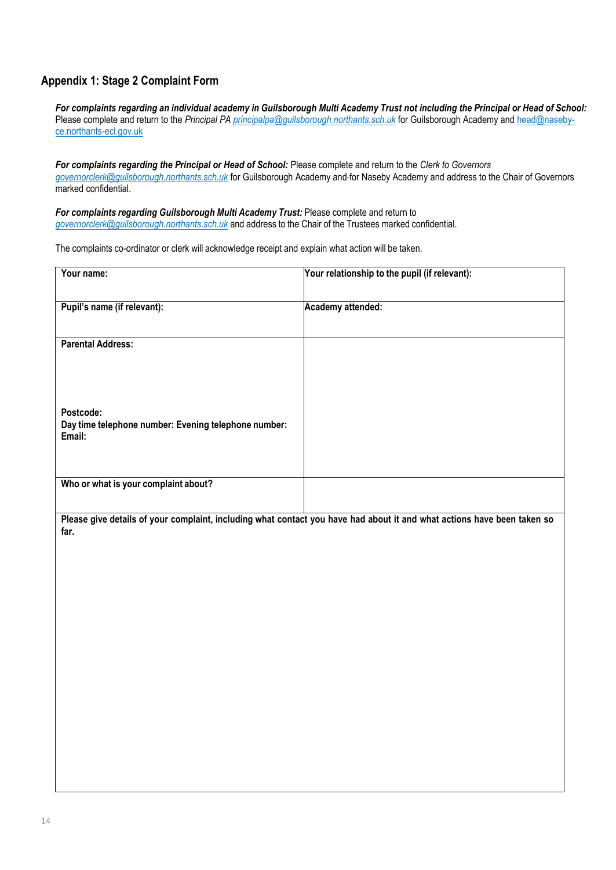#### **Appendix 1: Stage 2 Complaint Form**

For complaints regarding an individual academy in Guilsborough Multi Academy Trust not including the Principal or Head of School: Please complete and return to the *Principal PA [principalpa@guilsborough.northants.sch.uk](mailto:principalpa@guilsborough.northants.sch.uk)* for Guilsborough Academy and [head@naseby](mailto:head@naseby-ce.northants-ecl.gov.uk)[ce.northants-ecl.gov.uk](mailto:head@naseby-ce.northants-ecl.gov.uk)

*For complaints regarding the Principal or Head of School:* Please complete and return to the *Clerk to Governors [governorclerk@guilsborough.northants.sch.uk](mailto:governorclerk@guilsborough.northants.sch.uk)* for Guilsborough Academy and for Naseby Academy and address to the Chair of Governors marked confidential.

*For complaints regarding Guilsborough Multi Academy Trust:* Please complete and return to *[governorclerk@guilsborough.northants.sch.uk](mailto:governorclerk@guilsborough.northants.sch.uk)* and address to the Chair of the Trustees marked confidential.

The complaints co-ordinator or clerk will acknowledge receipt and explain what action will be taken.

| Your name:                                                                                                                      | Your relationship to the pupil (if relevant): |
|---------------------------------------------------------------------------------------------------------------------------------|-----------------------------------------------|
| Pupil's name (if relevant):                                                                                                     | Academy attended:                             |
| <b>Parental Address:</b>                                                                                                        |                                               |
|                                                                                                                                 |                                               |
| Postcode:<br>Day time telephone number: Evening telephone number:<br>Email:                                                     |                                               |
| Who or what is your complaint about?                                                                                            |                                               |
| Please give details of your complaint, including what contact you have had about it and what actions have been taken so<br>far. |                                               |
|                                                                                                                                 |                                               |
|                                                                                                                                 |                                               |
|                                                                                                                                 |                                               |
|                                                                                                                                 |                                               |
|                                                                                                                                 |                                               |
|                                                                                                                                 |                                               |
|                                                                                                                                 |                                               |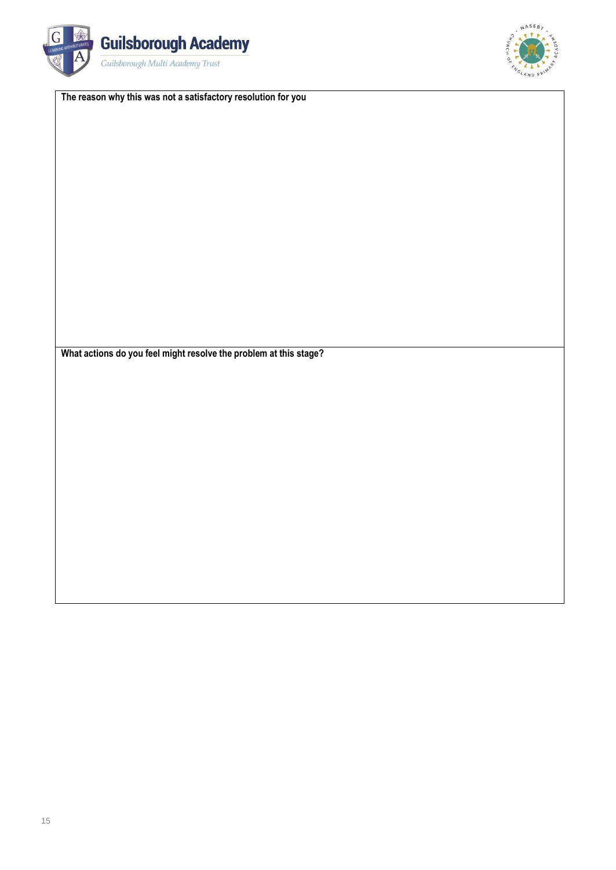



**The reason why this was not a satisfactory resolution for you**

**What actions do you feel might resolve the problem at this stage?**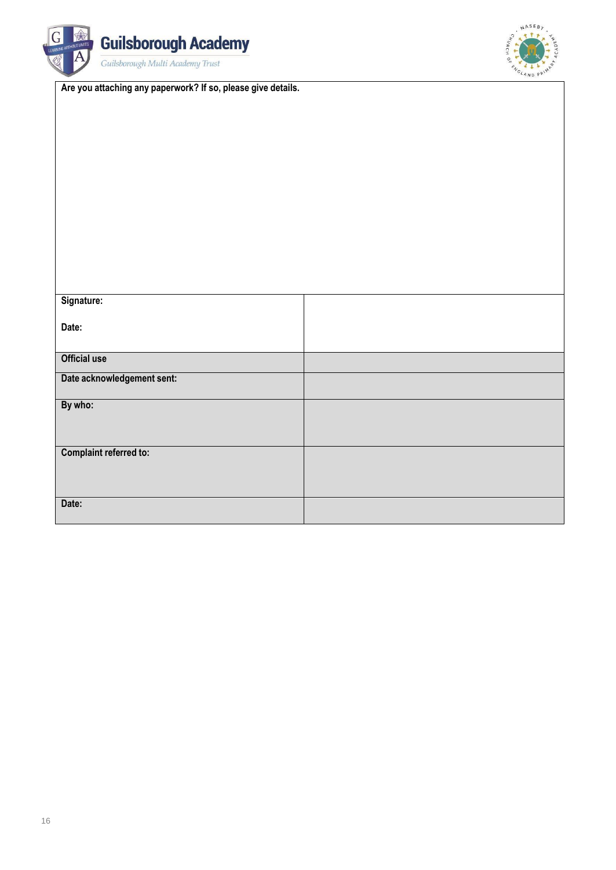



**Are you attaching any paperwork? If so, please give details.**

| Signature:                    |  |
|-------------------------------|--|
| Date:                         |  |
|                               |  |
| <b>Official use</b>           |  |
| Date acknowledgement sent:    |  |
| By who:                       |  |
|                               |  |
| <b>Complaint referred to:</b> |  |
|                               |  |
|                               |  |
| Date:                         |  |
|                               |  |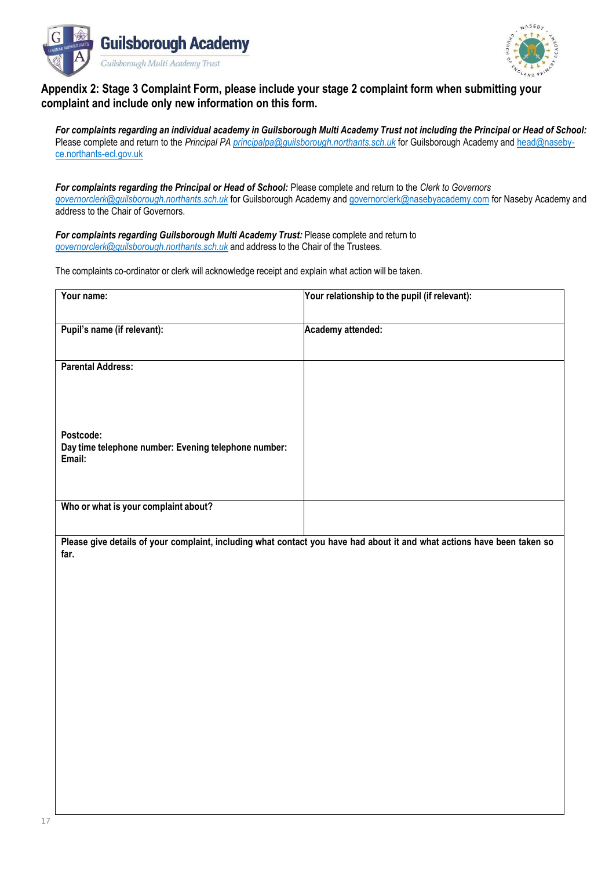



#### **Appendix 2: Stage 3 Complaint Form, please include your stage 2 complaint form when submitting your complaint and include only new information on this form.**

For complaints regarding an individual academy in Guilsborough Multi Academy Trust not including the Principal or Head of School: Please complete and return to the *Principal PA [principalpa@guilsborough.northants.sch.uk](mailto:principalpa@guilsborough.northants.sch.uk)* for Guilsborough Academy and [head@naseby](mailto:head@naseby-ce.northants-ecl.gov.uk)[ce.northants-ecl.gov.uk](mailto:head@naseby-ce.northants-ecl.gov.uk)

*For complaints regarding the Principal or Head of School:* Please complete and return to the *Clerk to Governors [governorclerk@guilsborough.northants.sch.uk](mailto:governorclerk@guilsborough.northants.sch.uk)* for Guilsborough Academy and [governorclerk@nasebyacademy.com](mailto:governorclerk@nasebyacademy.com) for Naseby Academy and address to the Chair of Governors.

*For complaints regarding Guilsborough Multi Academy Trust:* Please complete and return to *[governorclerk@guilsborough.northants.sch.uk](mailto:governorclerk@guilsborough.northants.sch.uk)* and address to the Chair of the Trustees.

The complaints co-ordinator or clerk will acknowledge receipt and explain what action will be taken.

| Your name:                                                                  | Your relationship to the pupil (if relevant):                                                                           |
|-----------------------------------------------------------------------------|-------------------------------------------------------------------------------------------------------------------------|
| Pupil's name (if relevant):                                                 | Academy attended:                                                                                                       |
| <b>Parental Address:</b>                                                    |                                                                                                                         |
| Postcode:<br>Day time telephone number: Evening telephone number:<br>Email: |                                                                                                                         |
| Who or what is your complaint about?                                        |                                                                                                                         |
| far.                                                                        | Please give details of your complaint, including what contact you have had about it and what actions have been taken so |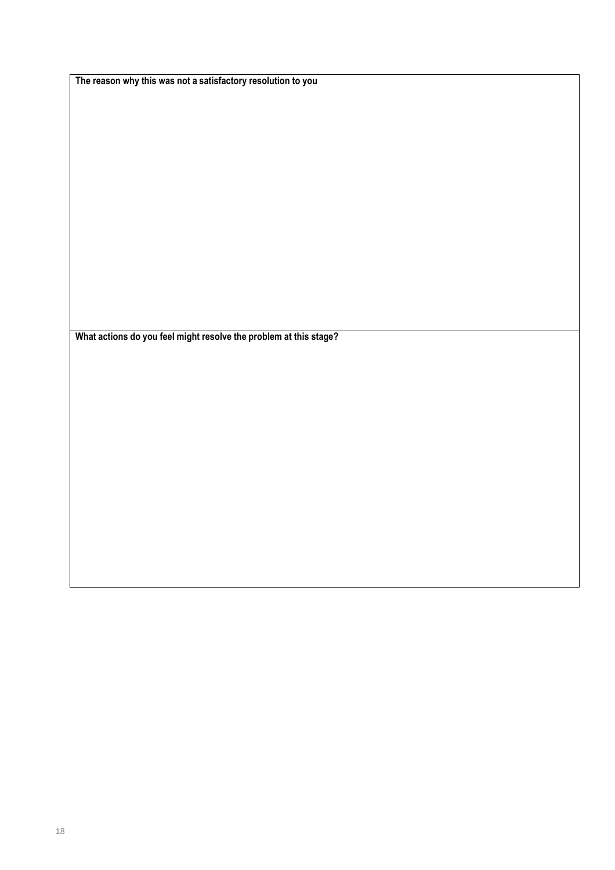**The reason why this was not a satisfactory resolution to you**

**What actions do you feel might resolve the problem at this stage?**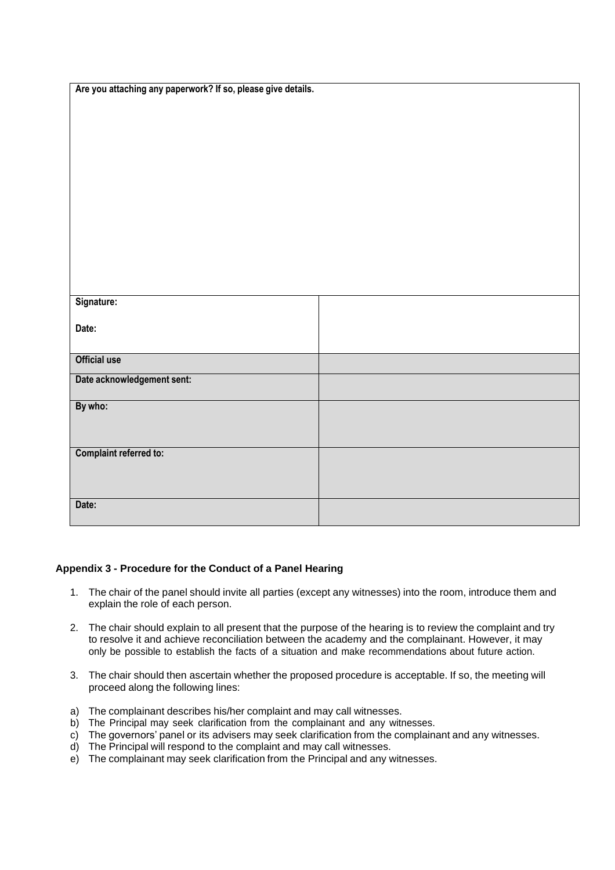| Are you attaching any paperwork? If so, please give details. |  |
|--------------------------------------------------------------|--|
|                                                              |  |
|                                                              |  |
|                                                              |  |
|                                                              |  |
|                                                              |  |
|                                                              |  |
|                                                              |  |
|                                                              |  |
| Signature:                                                   |  |
|                                                              |  |
| Date:                                                        |  |
| <b>Official use</b>                                          |  |
| Date acknowledgement sent:                                   |  |
| By who:                                                      |  |
|                                                              |  |
| <b>Complaint referred to:</b>                                |  |
|                                                              |  |
| Date:                                                        |  |
|                                                              |  |

#### **Appendix 3 - Procedure for the Conduct of a Panel Hearing**

- 1. The chair of the panel should invite all parties (except any witnesses) into the room, introduce them and explain the role of each person.
- 2. The chair should explain to all present that the purpose of the hearing is to review the complaint and try to resolve it and achieve reconciliation between the academy and the complainant. However, it may only be possible to establish the facts of a situation and make recommendations about future action.
- 3. The chair should then ascertain whether the proposed procedure is acceptable. If so, the meeting will proceed along the following lines:
- a) The complainant describes his/her complaint and may call witnesses.
- b) The Principal may seek clarification from the complainant and any witnesses.
- c) The governors' panel or its advisers may seek clarification from the complainant and any witnesses.
- d) The Principal will respond to the complaint and may call witnesses.
- e) The complainant may seek clarification from the Principal and any witnesses.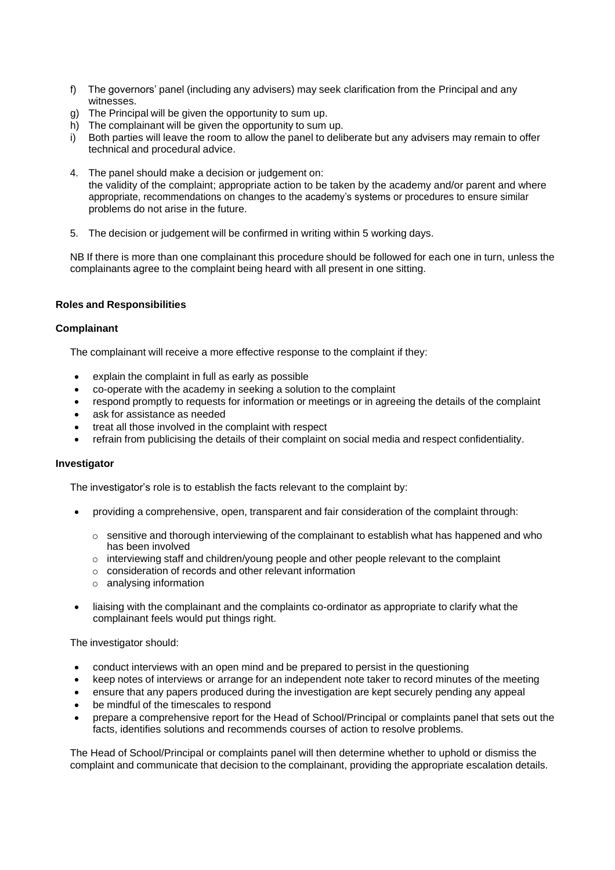- f) The governors' panel (including any advisers) may seek clarification from the Principal and any witnesses.
- g) The Principal will be given the opportunity to sum up.
- h) The complainant will be given the opportunity to sum up.
- i) Both parties will leave the room to allow the panel to deliberate but any advisers may remain to offer technical and procedural advice.
- 4. The panel should make a decision or judgement on: the validity of the complaint; appropriate action to be taken by the academy and/or parent and where appropriate, recommendations on changes to the academy's systems or procedures to ensure similar problems do not arise in the future.
- 5. The decision or judgement will be confirmed in writing within 5 working days.

NB If there is more than one complainant this procedure should be followed for each one in turn, unless the complainants agree to the complaint being heard with all present in one sitting.

#### **Roles and Responsibilities**

#### **Complainant**

The complainant will receive a more effective response to the complaint if they:

- explain the complaint in full as early as possible
- co-operate with the academy in seeking a solution to the complaint
- respond promptly to requests for information or meetings or in agreeing the details of the complaint
- ask for assistance as needed
- treat all those involved in the complaint with respect
- refrain from publicising the details of their complaint on social media and respect confidentiality.

#### **Investigator**

The investigator's role is to establish the facts relevant to the complaint by:

- providing a comprehensive, open, transparent and fair consideration of the complaint through:
	- $\circ$  sensitive and thorough interviewing of the complainant to establish what has happened and who has been involved
	- $\circ$  interviewing staff and children/young people and other people relevant to the complaint
	- o consideration of records and other relevant information
	- o analysing information
- liaising with the complainant and the complaints co-ordinator as appropriate to clarify what the complainant feels would put things right.

The investigator should:

- conduct interviews with an open mind and be prepared to persist in the questioning
- keep notes of interviews or arrange for an independent note taker to record minutes of the meeting
- ensure that any papers produced during the investigation are kept securely pending any appeal
- be mindful of the timescales to respond
- prepare a comprehensive report for the Head of School/Principal or complaints panel that sets out the facts, identifies solutions and recommends courses of action to resolve problems.

The Head of School/Principal or complaints panel will then determine whether to uphold or dismiss the complaint and communicate that decision to the complainant, providing the appropriate escalation details.